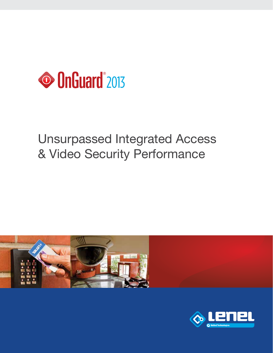

## Unsurpassed Integrated Access & Video Security Performance



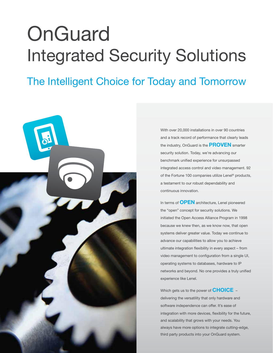# **OnGuard** Integrated Security Solutions

## The Intelligent Choice for Today and Tomorrow



With over 20,000 installations in over 90 countries and a track record of performance that clearly leads the industry, OnGuard is the **PROVEN** smarter security solution. Today, we're advancing our benchmark unified experience for unsurpassed integrated access control and video management. 92 of the Fortune 100 companies utilize Lenel® products, a testament to our robust dependability and continuous innovation.

In terms of **OPEN** architecture, Lenel pioneered the "open" concept for security solutions. We initiated the Open Access Alliance Program in 1998 because we knew then, as we know now, that open systems deliver greater value. Today we continue to advance our capabilities to allow you to achieve ultimate integration flexibility in every aspect - from video management to configuration from a single UI, operating systems to databases, hardware to IP networks and beyond. No one provides a truly unified experience like Lenel.

Which gets us to the power of **CHOICE** delivering the versatility that only hardware and software independence can offer. It's ease of integration with more devices, flexibility for the future, and scalability that grows with your needs. You always have more options to integrate cutting-edge, third party products into your OnGuard system.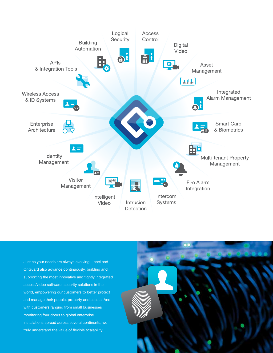

Just as your needs are always evolving, Lenel and OnGuard also advance continuously, building and supporting the most innovative and tightly integrated access/video software security solutions in the world, empowering our customers to better protect and manage their people, property and assets. And with customers ranging from small businesses monitoring four doors to global enterprise installations spread across several continents, we truly understand the value of flexible scalability.

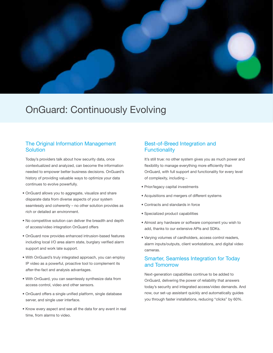

### OnGuard: Continuously Evolving

#### The Original Information Management **Solution**

Today's providers talk about how security data, once contextualized and analyzed, can become the information needed to empower better business decisions. OnGuard's history of providing valuable ways to optimize your data continues to evolve powerfully.

- OnGuard allows you to aggregate, visualize and share disparate data from diverse aspects of your system seamlessly and coherently – no other solution provides as rich or detailed an environment.
- No competitive solution can deliver the breadth and depth of access/video integration OnGuard offers
- OnGuard now provides enhanced intrusion-based features including local I/O area alarm state, burglary verified alarm support and work late support.
- With OnGuard's truly integrated approach, you can employ IP video as a powerful, proactive tool to complement its after-the-fact and analysis advantages.
- With OnGuard, you can seamlessly synthesize data from access control, video and other sensors.
- OnGuard offers a single unified platform, single database server, and single user interface.
- Know every aspect and see all the data for any event in real time, from alarms to video.

#### Best-of-Breed Integration and **Functionality**

It's still true: no other system gives you as much power and flexibility to manage everything more efficiently than OnGuard, with full support and functionality for every level of complexity, including –

- Prior/legacy capital investments
- Acquisitions and mergers of different systems
- Contracts and standards in force
- Specialized product capabilities
- Almost any hardware or software component you wish to add, thanks to our extensive APIs and SDKs.
- Varying volumes of cardholders, access control readers, alarm inputs/outputs, client workstations, and digital video cameras.

#### Smarter, Seamless Integration for Today and Tomorrow

Next-generation capabilities continue to be added to OnGuard, delivering the power of reliability that answers today's security and integrated access/video demands. And now, our set-up assistant quickly and automatically guides you through faster installations, reducing "clicks" by 60%.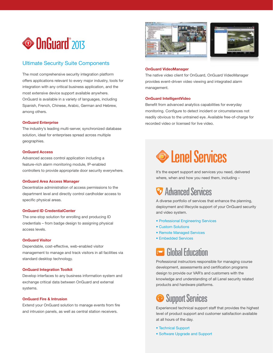

#### Ultimate Security Suite Components

The most comprehensive security integration platform offers applications relevant to every major industry, tools for integration with any critical business application, and the most extensive device support available anywhere. OnGuard is available in a variety of languages, including Spanish, French, Chinese, Arabic, German and Hebrew, among others.

#### OnGuard Enterprise

The industry's leading multi-server, synchronized database solution, ideal for enterprises spread across multiple geographies.

#### OnGuard Access

Advanced access control application including a feature-rich alarm monitoring module, IP-enabled controllers to provide appropriate door security everywhere.

#### OnGuard Area Access Manager

Decentralize administration of access permissions to the department level and directly control cardholder access to specific physical areas.

#### OnGuard ID CredentialCenter

The one-stop solution for enrolling and producing ID credentials – from badge design to assigning physical access levels.

#### OnGuard Visitor

Dependable, cost-effective, web-enabled visitor management to manage and track visitors in all facilities via standard desktop technology.

#### OnGuard Integration Toolkit

Develop interfaces to any business information system and exchange critical data between OnGuard and external systems.

#### OnGuard Fire & Intrusion

Extend your OnGuard solution to manage events from fire and intrusion panels, as well as central station receivers.





#### OnGuard VideoManager

The native video client for OnGuard, OnGuard VideoManager provides event-driven video viewing and integrated alarm management.

#### OnGuard IntelligentVideo

Benefit from advanced analytics capabilities for everyday monitoring. Configure to detect incident or circumstances not readily obvious to the untrained eye. Available free-of-charge for recorded video or licensed for live video.

## **S** Lenel Services

It's the expert support and services you need, delivered where, when and how you need them, including –

### **E** Advanced Services

A diverse portfolio of services that enhance the planning, deployment and lifecycle support of your OnGuard security and video system.

- Professional Engineering Services
- Custom Solutions
- Remote Managed Services
- Embedded Services

### **Global Education**

Professional instructors responsible for managing course development, assessments and certification programs design to provide our VAR's and customers with the knowledge and understanding of all Lenel security related products and hardware platforms.

### **Support Services**

Experienced technical support staff that provides the highest level of product support and customer satisfaction available at all hours of the day.

- Technical Support
- Software Upgrade and Support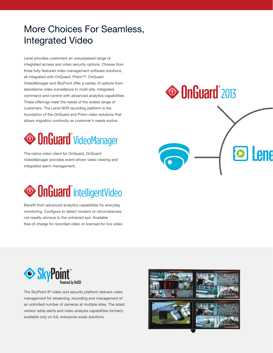## More Choices For Seamless, Integrated Video

Lenel provides customers an unsurpassed range of integrated access and video security options. Choose from three fully-featured video management software solutions, all integrated with OnGuard. Prism™, OnGuard VideoManager and SkyPoint offer a variety of options from standalone video surveillance to multi-site, integrated command-and-control with advanced analytics capabilities. These offerings meet the needs of the widest range of customers. The Lenel NVR recording platform is the foundation of the OnGuard and Prism video solutions that allows migration continuity as customer's needs evolve.

## <sup>O</sup> OnGuard<sup>®</sup> VideoManager

The native video client for OnGuard, OnGuard VideoManager provides event-driven video viewing and integrated alarm management.



Benefit from advanced analytics capabilities for everyday monitoring. Configure to detect incident or circumstances not readily obvious to the untrained eye. Available free-of-charge for recorded video or licensed for live video.

## **• OnGuard** 2013





The SkyPoint IP-video and security platform delivers video management for streaming, recording and management of an unlimited number of cameras at multiple sites. The latest version adds alerts and video analysis capabilities formerly available only on full, enterprise-scale solutions.

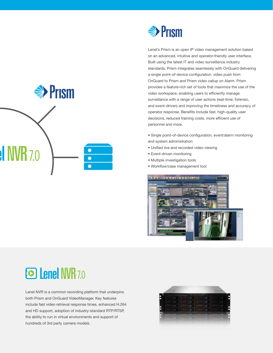



Lenel's Prism is an open IP video management solution based on an advanced, intuitive and operator-friendly user interface. Built using the latest IT and video surveillance industry standards, Prism integrates seamlessly with OnGuard delivering a single point-of-device configuration, video push from OnGuard to Prism and Prism video callup on Alarm. Prism provides a feature-rich set of tools that maximize the use of the video workspace, enabling users to efficiently manage surveillance with a range of user actions (real-time, forensic, and event-driven) and improving the timeliness and accuracy of operator response. Benefits include fast, high-quality user decisions, reduced training costs, more efficient use of personnel and more.

- Single point-of-device configuration, event/alarm monitoring and system administration
- Unified live and recorded video viewing
- Event-driven monitoring
- Multiple investigation tools
- Workflow/case management tool





Lenel NVR is a common recording platform that underpins both Prism and OnGuard VideoManager. Key features include fast video retrieval response times, enhanced H.264 and HD support, adoption of industry-standard RTP/RTSP, the ability to run in virtual environments and support of hundreds of 3rd party camera models.